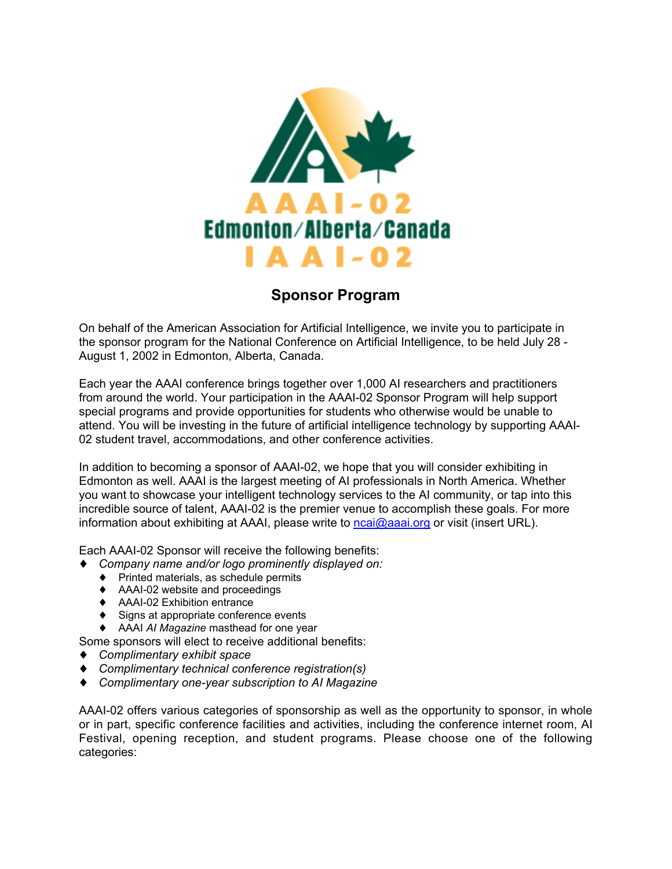

## **Sponsor Program**

On behalf of the American Association for Artificial Intelligence, we invite you to participate in the sponsor program for the National Conference on Artificial Intelligence, to be held July 28 - August 1, 2002 in Edmonton, Alberta, Canada.

Each year the AAAI conference brings together over 1,000 AI researchers and practitioners from around the world. Your participation in the AAAI-02 Sponsor Program will help support special programs and provide opportunities for students who otherwise would be unable to attend. You will be investing in the future of artificial intelligence technology by supporting AAAI-02 student travel, accommodations, and other conference activities.

In addition to becoming a sponsor of AAAI-02, we hope that you will consider exhibiting in Edmonton as well. AAAI is the largest meeting of AI professionals in North America. Whether you want to showcase your intelligent technology services to the AI community, or tap into this incredible source of talent, AAAI-02 is the premier venue to accomplish these goals. For more information about exhibiting at AAAI, please write to ncai@aaai.org or visit (insert URL).

Each AAAI-02 Sponsor will receive the following benefits:

- ♦ *Company name and/or logo prominently displayed on:*
	- ♦ Printed materials, as schedule permits
	- ♦ AAAI-02 website and proceedings
	- ♦ AAAI-02 Exhibition entrance
	- ♦ Signs at appropriate conference events
	- ♦ AAAI *AI Magazine* masthead for one year

Some sponsors will elect to receive additional benefits:

- ♦ *Complimentary exhibit space*
- ♦ *Complimentary technical conference registration(s)*
- ♦ *Complimentary one-year subscription to AI Magazine*

AAAI-02 offers various categories of sponsorship as well as the opportunity to sponsor, in whole or in part, specific conference facilities and activities, including the conference internet room, AI Festival, opening reception, and student programs. Please choose one of the following categories: